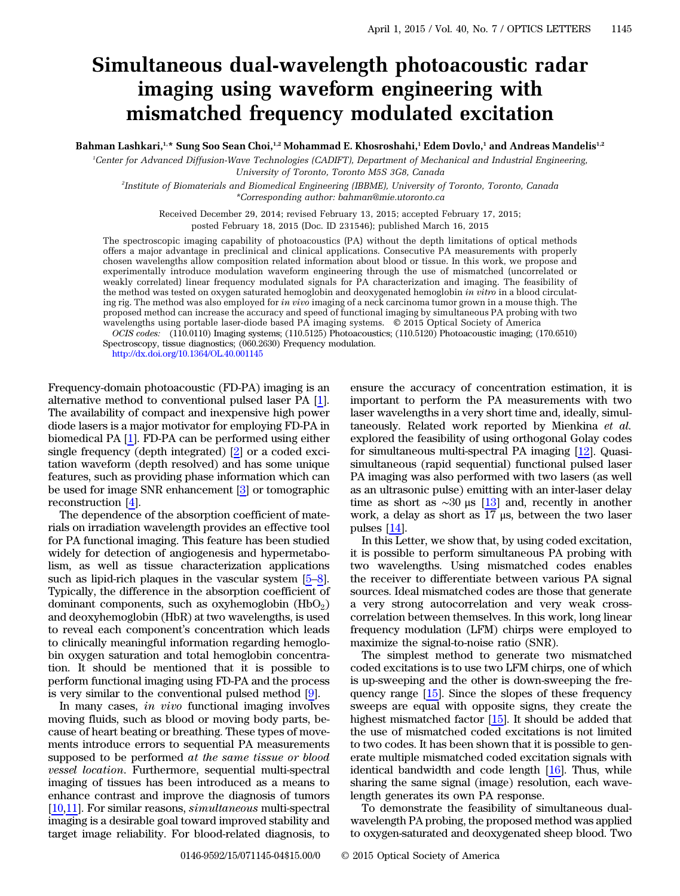## Simultaneous dual-wavelength photoacoustic radar imaging using waveform engineering with mismatched frequency modulated excitation

Bahman Lashkari,<sup>1,\*</sup> Sung Soo Sean Choi,<sup>1,2</sup> Mohammad E. Khosroshahi,<sup>1</sup> Edem Dovlo,<sup>1</sup> and Andreas Mandelis<sup>1,2</sup>

1 Center for Advanced Diffusion-Wave Technologies (CADIFT), Department of Mechanical and Industrial Engineering, University of Toronto, Toronto M5S 3G8, Canada

2 Institute of Biomaterials and Biomedical Engineering (IBBME), University of Toronto, Toronto, Canada \*Corresponding author: bahman@mie.utoronto.ca

Received December 29, 2014; revised February 13, 2015; accepted February 17, 2015; posted February 18, 2015 (Doc. ID 231546); published March 16, 2015

The spectroscopic imaging capability of photoacoustics (PA) without the depth limitations of optical methods offers a major advantage in preclinical and clinical applications. Consecutive PA measurements with properly chosen wavelengths allow composition related information about blood or tissue. In this work, we propose and experimentally introduce modulation waveform engineering through the use of mismatched (uncorrelated or weakly correlated) linear frequency modulated signals for PA characterization and imaging. The feasibility of the method was tested on oxygen saturated hemoglobin and deoxygenated hemoglobin in vitro in a blood circulating rig. The method was also employed for in vivo imaging of a neck carcinoma tumor grown in a mouse thigh. The proposed method can increase the accuracy and speed of functional imaging by simultaneous PA probing with two wavelengths using portable laser-diode based PA imaging systems. © 2015 Optical Society of America

OCIS codes: (110.0110) Imaging systems; (110.5125) Photoacoustics; (110.5120) Photoacoustic imaging; (170.6510) Spectroscopy, tissue diagnostics; (060.2630) Frequency modulation.

Frequency-domain photoacoustic (FD-PA) imaging is an alternative method to conventional pulsed laser PA [\[1](#page-3-0)]. The availability of compact and inexpensive high power diode lasers is a major motivator for employing FD-PA in biomedical PA [[1\]](#page-3-0). FD-PA can be performed using either single frequency (depth integrated) [\[2](#page-3-1)] or a coded excitation waveform (depth resolved) and has some unique features, such as providing phase information which can be used for image SNR enhancement [[3\]](#page-3-2) or tomographic reconstruction [[4\]](#page-3-3).

The dependence of the absorption coefficient of materials on irradiation wavelength provides an effective tool for PA functional imaging. This feature has been studied widely for detection of angiogenesis and hypermetabolism, as well as tissue characterization applications such as lipid-rich plaques in the vascular system [\[5](#page-3-4)–[8](#page-3-5)]. Typically, the difference in the absorption coefficient of dominant components, such as oxyhemoglobin  $(HbO<sub>2</sub>)$ and deoxyhemoglobin (HbR) at two wavelengths, is used to reveal each component's concentration which leads to clinically meaningful information regarding hemoglobin oxygen saturation and total hemoglobin concentration. It should be mentioned that it is possible to perform functional imaging using FD-PA and the process is very similar to the conventional pulsed method [\[9](#page-3-6)].

In many cases, in vivo functional imaging involves moving fluids, such as blood or moving body parts, because of heart beating or breathing. These types of movements introduce errors to sequential PA measurements supposed to be performed at the same tissue or blood vessel location. Furthermore, sequential multi-spectral imaging of tissues has been introduced as a means to enhance contrast and improve the diagnosis of tumors [\[10](#page-3-7),[11\]](#page-3-8). For similar reasons, simultaneous multi-spectral imaging is a desirable goal toward improved stability and target image reliability. For blood-related diagnosis, to

ensure the accuracy of concentration estimation, it is important to perform the PA measurements with two laser wavelengths in a very short time and, ideally, simultaneously. Related work reported by Mienkina et al. explored the feasibility of using orthogonal Golay codes for simultaneous multi-spectral PA imaging [\[12](#page-3-9)]. Quasisimultaneous (rapid sequential) functional pulsed laser PA imaging was also performed with two lasers (as well as an ultrasonic pulse) emitting with an inter-laser delay time as short as  $\sim$ 30 μs [[13\]](#page-3-10) and, recently in another work, a delay as short as 17 μs, between the two laser pulses [\[14](#page-3-11)].

In this Letter, we show that, by using coded excitation, it is possible to perform simultaneous PA probing with two wavelengths. Using mismatched codes enables the receiver to differentiate between various PA signal sources. Ideal mismatched codes are those that generate a very strong autocorrelation and very weak crosscorrelation between themselves. In this work, long linear frequency modulation (LFM) chirps were employed to maximize the signal-to-noise ratio (SNR).

The simplest method to generate two mismatched coded excitations is to use two LFM chirps, one of which is up-sweeping and the other is down-sweeping the frequency range [[15\]](#page-3-12). Since the slopes of these frequency sweeps are equal with opposite signs, they create the highest mismatched factor [[15\]](#page-3-12). It should be added that the use of mismatched coded excitations is not limited to two codes. It has been shown that it is possible to generate multiple mismatched coded excitation signals with identical bandwidth and code length [[16\]](#page-3-13). Thus, while sharing the same signal (image) resolution, each wavelength generates its own PA response.

To demonstrate the feasibility of simultaneous dualwavelength PA probing, the proposed method was applied to oxygen-saturated and deoxygenated sheep blood. Two

<http://dx.doi.org/10.1364/OL.40.001145>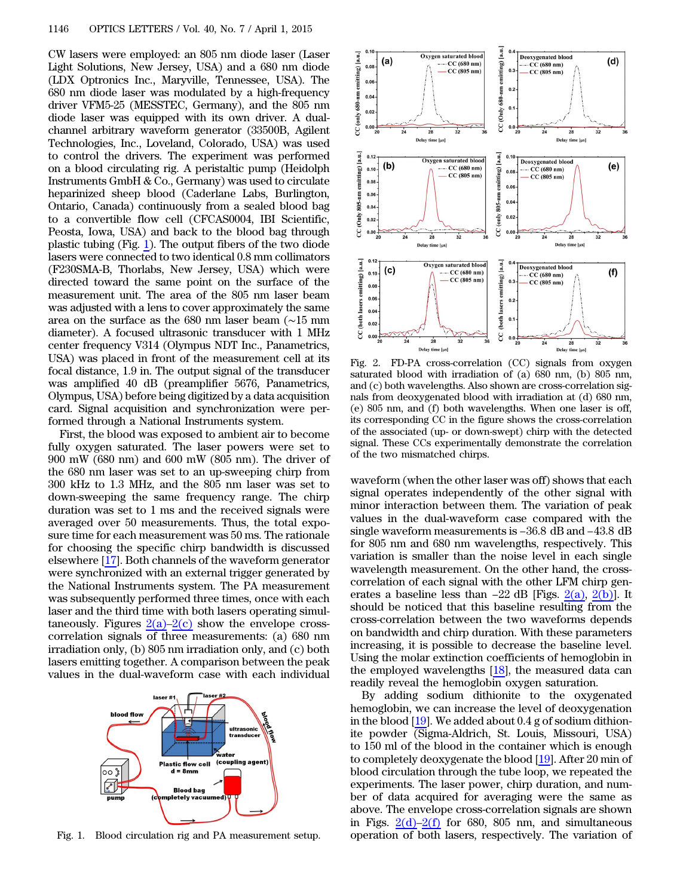CW lasers were employed: an 805 nm diode laser (Laser Light Solutions, New Jersey, USA) and a 680 nm diode (LDX Optronics Inc., Maryville, Tennessee, USA). The 680 nm diode laser was modulated by a high-frequency driver VFM5-25 (MESSTEC, Germany), and the 805 nm diode laser was equipped with its own driver. A dualchannel arbitrary waveform generator (33500B, Agilent Technologies, Inc., Loveland, Colorado, USA) was used to control the drivers. The experiment was performed on a blood circulating rig. A peristaltic pump (Heidolph Instruments GmbH & Co., Germany) was used to circulate heparinized sheep blood (Caderlane Labs, Burlington, Ontario, Canada) continuously from a sealed blood bag to a convertible flow cell (CFCAS0004, IBI Scientific, Peosta, Iowa, USA) and back to the blood bag through plastic tubing (Fig. [1](#page-1-0)). The output fibers of the two diode lasers were connected to two identical 0.8 mm collimators (F230SMA-B, Thorlabs, New Jersey, USA) which were directed toward the same point on the surface of the measurement unit. The area of the 805 nm laser beam was adjusted with a lens to cover approximately the same area on the surface as the 680 nm laser beam (∼15 mm diameter). A focused ultrasonic transducer with 1 MHz center frequency V314 (Olympus NDT Inc., Panametrics, USA) was placed in front of the measurement cell at its focal distance, 1.9 in. The output signal of the transducer was amplified 40 dB (preamplifier 5676, Panametrics, Olympus, USA) before being digitized by a data acquisition card. Signal acquisition and synchronization were performed through a National Instruments system.

First, the blood was exposed to ambient air to become fully oxygen saturated. The laser powers were set to 900 mW (680 nm) and 600 mW (805 nm). The driver of the 680 nm laser was set to an up-sweeping chirp from 300 kHz to 1.3 MHz, and the 805 nm laser was set to down-sweeping the same frequency range. The chirp duration was set to 1 ms and the received signals were averaged over 50 measurements. Thus, the total exposure time for each measurement was 50 ms. The rationale for choosing the specific chirp bandwidth is discussed elsewhere [[17\]](#page-3-14). Both channels of the waveform generator were synchronized with an external trigger generated by the National Instruments system. The PA measurement was subsequently performed three times, once with each laser and the third time with both lasers operating simultaneously. Figures  $2(a)-2(c)$  $2(a)-2(c)$  $2(a)-2(c)$  show the envelope crosscorrelation signals of three measurements: (a) 680 nm irradiation only, (b) 805 nm irradiation only, and (c) both lasers emitting together. A comparison between the peak values in the dual-waveform case with each individual



<span id="page-1-1"></span>

Fig. 2. FD-PA cross-correlation (CC) signals from oxygen saturated blood with irradiation of (a) 680 nm, (b) 805 nm, and (c) both wavelengths. Also shown are cross-correlation signals from deoxygenated blood with irradiation at (d) 680 nm, (e) 805 nm, and (f) both wavelengths. When one laser is off, its corresponding CC in the figure shows the cross-correlation of the associated (up- or down-swept) chirp with the detected signal. These CCs experimentally demonstrate the correlation of the two mismatched chirps.

waveform (when the other laser was off) shows that each signal operates independently of the other signal with minor interaction between them. The variation of peak values in the dual-waveform case compared with the single waveform measurements is −36.8 dB and −43.8 dB minor interaction between them. The variation of peak values in the dual-waveform case compared with the for 805 nm and 680 nm wavelengths, respectively. This variation is smaller than the noise level in each single wavelength measurement. On the other hand, the crosscorrelation of each signal with the other LFM chirp generates a baseline less than  $-22$  dB [Figs.  $2(a)$ ,  $2(b)$ ] wavelength measurement. On the other hand, the crosscorrelation of each signal with the other LFM chirp genshould be noticed that this baseline resulting from the cross-correlation between the two waveforms depends on bandwidth and chirp duration. With these parameters increasing, it is possible to decrease the baseline level. Using the molar extinction coefficients of hemoglobin in the employed wavelengths  $[18]$  $[18]$ , the measured data can readily reveal the hemoglobin oxygen saturation.

<span id="page-1-0"></span>By adding sodium dithionite to the oxygenated hemoglobin, we can increase the level of deoxygenation in the blood  $[19]$  $[19]$ . We added about 0.4 g of sodium dithionite powder (Sigma-Aldrich, St. Louis, Missouri, USA) to 150 ml of the blood in the container which is enough to completely deoxygenate the blood [[19\]](#page-3-16). After 20 min of blood circulation through the tube loop, we repeated the experiments. The laser power, chirp duration, and number of data acquired for averaging were the same as above. The envelope cross-correlation signals are shown in Figs.  $2(d)-2(f)$  $2(d)-2(f)$  $2(d)-2(f)$  for 680, 805 nm, and simultaneous Fig. 1. Blood circulation rig and PA measurement setup. operation of both lasers, respectively. The variation of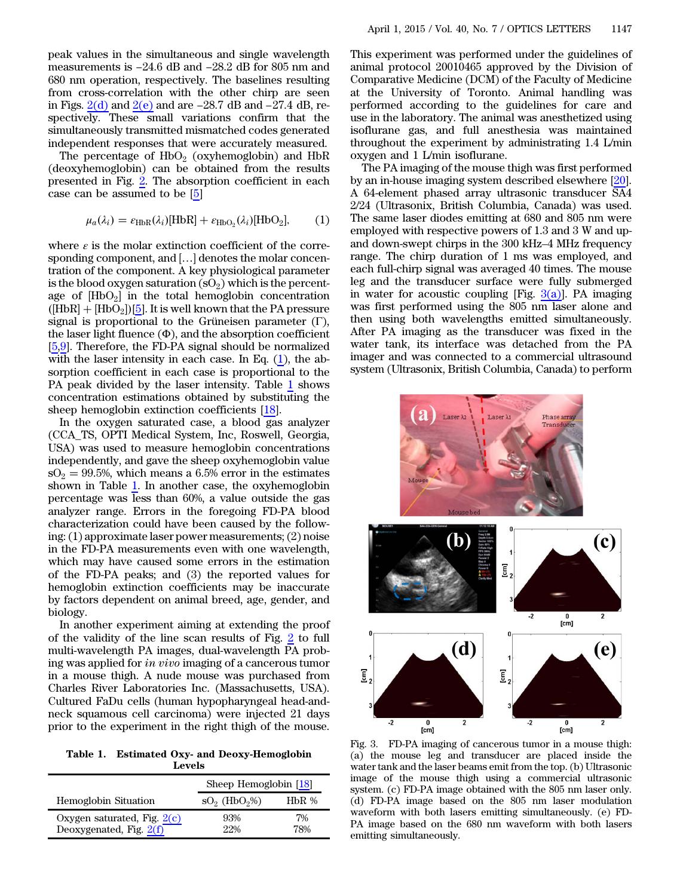peak values in the simultaneous and single wavelength meak values in the simultaneous and single wavelength<br>measurements is −24.6 dB and −28.2 dB for 805 nm and 680 nm operation, respectively. The baselines resulting from cross-correlation with the other chirp are seen measurements is  $-24.6$  dB and  $-28.2$  dB for 805 nm and 680 nm operation, respectively. The baselines resulting from cross-correlation with the other chirp are seen in Figs.  $2(d)$  and  $2(e)$  and are  $-28.7$  dB and  $-27.4$ spectively. These small variations confirm that the simultaneously transmitted mismatched codes generated independent responses that were accurately measured.

<span id="page-2-0"></span>The percentage of  $HbO<sub>2</sub>$  (oxyhemoglobin) and  $HbR$ (deoxyhemoglobin) can be obtained from the results presented in Fig. [2.](#page-1-1) The absorption coefficient in each case can be assumed to be [\[5](#page-3-4)]

$$
\mu_a(\lambda_i) = \varepsilon_{\text{HbR}}(\lambda_i)[\text{HbR}] + \varepsilon_{\text{HbO}_2}(\lambda_i)[\text{HbO}_2],\tag{1}
$$

where  $\varepsilon$  is the molar extinction coefficient of the corresponding component, and [...] denotes the molar concentration of the component. A key physiological parameter is the blood oxygen saturation  $(SO<sub>2</sub>)$  which is the percentage of  $[HbO<sub>2</sub>]$  in the total hemoglobin concentration  $(HbR] + [HbO<sub>2</sub>][5]$  $(HbR] + [HbO<sub>2</sub>][5]$  $(HbR] + [HbO<sub>2</sub>][5]$ . It is well known that the PA pressure signal is proportional to the Grüneisen parameter  $(Γ)$ , the laser light fluence  $(\Phi)$ , and the absorption coefficient [\[5](#page-3-4),[9\]](#page-3-6). Therefore, the FD-PA signal should be normalized with the laser intensity in each case. In Eq.  $(1)$  $(1)$ , the absorption coefficient in each case is proportional to the PA peak divided by the laser intensity. Table [1](#page-2-1) shows concentration estimations obtained by substituting the sheep hemoglobin extinction coefficients [[18\]](#page-3-15).

In the oxygen saturated case, a blood gas analyzer (CCA\_TS, OPTI Medical System, Inc, Roswell, Georgia, USA) was used to measure hemoglobin concentrations independently, and gave the sheep oxyhemoglobin value  $sO<sub>2</sub> = 99.5%$ , which means a 6.5% error in the estimates shown in Table [1](#page-2-1). In another case, the oxyhemoglobin percentage was less than 60%, a value outside the gas analyzer range. Errors in the foregoing FD-PA blood characterization could have been caused by the following: (1) approximate laser power measurements; (2) noise in the FD-PA measurements even with one wavelength, which may have caused some errors in the estimation of the FD-PA peaks; and (3) the reported values for hemoglobin extinction coefficients may be inaccurate by factors dependent on animal breed, age, gender, and biology.

In another experiment aiming at extending the proof of the validity of the line scan results of Fig. [2](#page-1-1) to full multi-wavelength PA images, dual-wavelength PA probing was applied for in vivo imaging of a cancerous tumor in a mouse thigh. A nude mouse was purchased from Charles River Laboratories Inc. (Massachusetts, USA). Cultured FaDu cells (human hypopharyngeal head-andneck squamous cell carcinoma) were injected 21 days prior to the experiment in the right thigh of the mouse.

<span id="page-2-1"></span>Table 1. Estimated Oxy- and Deoxy-Hemoglobin Levels

|                                                            | Sheep Hemoglobin [18]      |           |
|------------------------------------------------------------|----------------------------|-----------|
| <b>Hemoglobin Situation</b>                                | $SO2$ (HbO <sub>2</sub> %) | $HbR$ %   |
| Oxygen saturated, Fig. $2(c)$<br>Deoxygenated, Fig. $2(f)$ | 93%<br>22%                 | 7%<br>78% |

This experiment was performed under the guidelines of animal protocol 20010465 approved by the Division of Comparative Medicine (DCM) of the Faculty of Medicine at the University of Toronto. Animal handling was performed according to the guidelines for care and use in the laboratory. The animal was anesthetized using isoflurane gas, and full anesthesia was maintained throughout the experiment by administrating 1.4 L/min oxygen and 1 L/min isoflurane.

The PA imaging of the mouse thigh was first performed by an in-house imaging system described elsewhere [\[20](#page-3-17)]. A 64-element phased array ultrasonic transducer SA4 2/24 (Ultrasonix, British Columbia, Canada) was used. The same laser diodes emitting at 680 and 805 nm were employed with respective powers of 1.3 and 3 W and upand down-swept chirps in the 300 kHz–4 MHz frequency range. The chirp duration of 1 ms was employed, and each full-chirp signal was averaged 40 times. The mouse leg and the transducer surface were fully submerged in water for acoustic coupling [Fig.  $3(a)$ ]. PA imaging was first performed using the 805 nm laser alone and then using both wavelengths emitted simultaneously. After PA imaging as the transducer was fixed in the water tank, its interface was detached from the PA imager and was connected to a commercial ultrasound system (Ultrasonix, British Columbia, Canada) to perform

<span id="page-2-2"></span>

Fig. 3. FD-PA imaging of cancerous tumor in a mouse thigh: (a) the mouse leg and transducer are placed inside the water tank and the laser beams emit from the top. (b) Ultrasonic image of the mouse thigh using a commercial ultrasonic system. (c) FD-PA image obtained with the 805 nm laser only. (d) FD-PA image based on the 805 nm laser modulation waveform with both lasers emitting simultaneously. (e) FD-PA image based on the 680 nm waveform with both lasers emitting simultaneously.